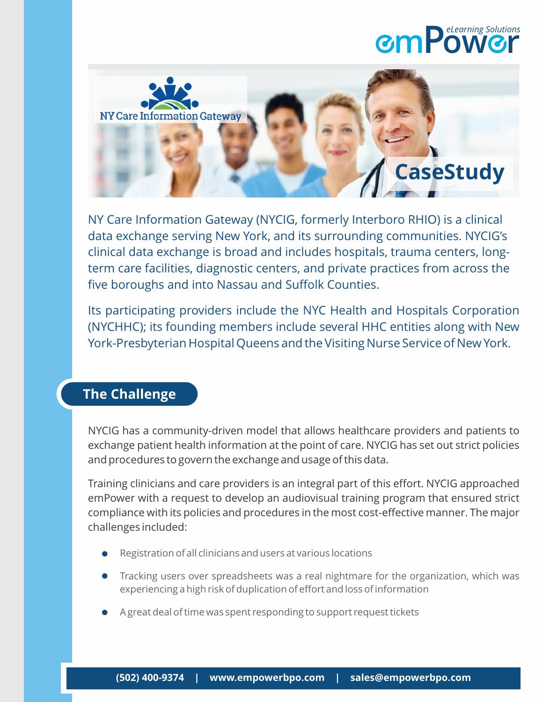## **mPow r** *eLearning Solutions*



NY Care Information Gateway (NYCIG, formerly Interboro RHIO) is a clinical data exchange serving New York, and its surrounding communities. NYCIG's clinical data exchange is broad and includes hospitals, trauma centers, longterm care facilities, diagnostic centers, and private practices from across the five boroughs and into Nassau and Suffolk Counties.

Its participating providers include the NYC Health and Hospitals Corporation (NYCHHC); its founding members include several HHC entities along with New York-Presbyterian Hospital Queens and the Visiting Nurse Service of New York.

## **The Challenge**

NYCIG has a community-driven model that allows healthcare providers and patients to exchange patient health information at the point of care. NYCIG has set out strict policies and procedures to govern the exchange and usage of this data.

Training clinicians and care providers is an integral part of this effort. NYCIG approached emPower with a request to develop an audiovisual training program that ensured strict compliance with its policies and procedures in the most cost-effective manner. The major challenges included:

- Registration of all clinicians and users at various locations
- Tracking users over spreadsheets was a real nightmare for the organization, which was experiencing a high risk of duplication of effort and loss of information
- A great deal of time was spent responding to support request tickets